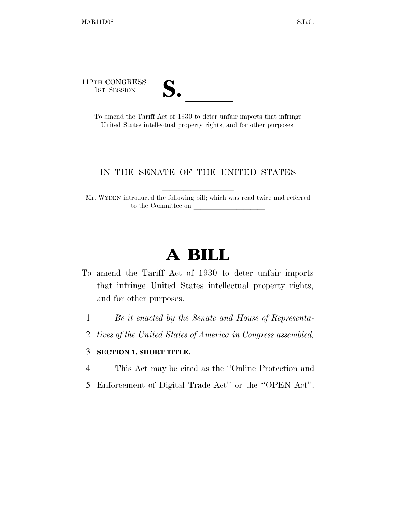112TH CONGRESS



TH CONGRESS<br>
1st Session<br>
To amend the Tariff Act of 1930 to deter unfair imports that infringe United States intellectual property rights, and for other purposes.

#### IN THE SENATE OF THE UNITED STATES

Mr. WYDEN introduced the following bill; which was read twice and referred to the Committee on

# **A BILL**

- To amend the Tariff Act of 1930 to deter unfair imports that infringe United States intellectual property rights, and for other purposes.
	- 1 *Be it enacted by the Senate and House of Representa-*
	- 2 *tives of the United States of America in Congress assembled,*

#### 3 **SECTION 1. SHORT TITLE.**

- 4 This Act may be cited as the ''Online Protection and
- 5 Enforcement of Digital Trade Act'' or the ''OPEN Act''.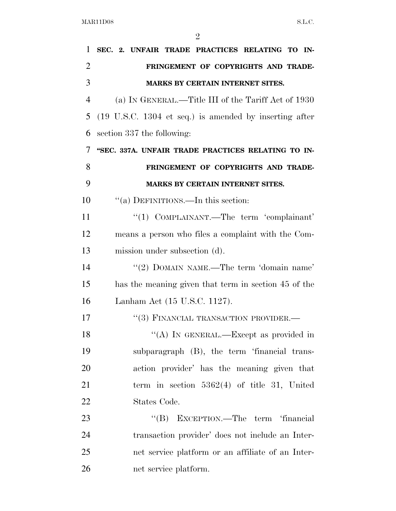| 1              | SEC. 2. UNFAIR TRADE PRACTICES RELATING TO IN-                            |
|----------------|---------------------------------------------------------------------------|
| $\overline{2}$ | FRINGEMENT OF COPYRIGHTS AND TRADE-                                       |
| 3              | MARKS BY CERTAIN INTERNET SITES.                                          |
| $\overline{4}$ | (a) IN GENERAL.—Title III of the Tariff Act of 1930                       |
| 5              | $(19 \text{ U.S.C. } 1304 \text{ et seq.})$ is amended by inserting after |
| 6              | section 337 the following:                                                |
| 7              | "SEC. 337A. UNFAIR TRADE PRACTICES RELATING TO IN-                        |
| 8              | FRINGEMENT OF COPYRIGHTS AND TRADE-                                       |
| 9              | <b>MARKS BY CERTAIN INTERNET SITES.</b>                                   |
| 10             | "(a) DEFINITIONS.—In this section:                                        |
| 11             | "(1) COMPLAINANT.—The term 'complainant'                                  |
| 12             | means a person who files a complaint with the Com-                        |
| 13             | mission under subsection (d).                                             |
| 14             | "(2) DOMAIN NAME.—The term 'domain name'                                  |
| 15             | has the meaning given that term in section 45 of the                      |
| 16             | Lanham Act (15 U.S.C. 1127).                                              |
| 17             | "(3) FINANCIAL TRANSACTION PROVIDER.-                                     |
| 18             | "(A) IN GENERAL.—Except as provided in                                    |
| 19             | subparagraph (B), the term 'financial trans-                              |
| 20             | action provider' has the meaning given that                               |
| 21             | term in section $5362(4)$ of title 31, United                             |
| 22             | States Code.                                                              |
| 23             | "(B) EXCEPTION.—The term 'financial                                       |
| 24             | transaction provider' does not include an Inter-                          |
| 25             | net service platform or an affiliate of an Inter-                         |
| 26             | net service platform.                                                     |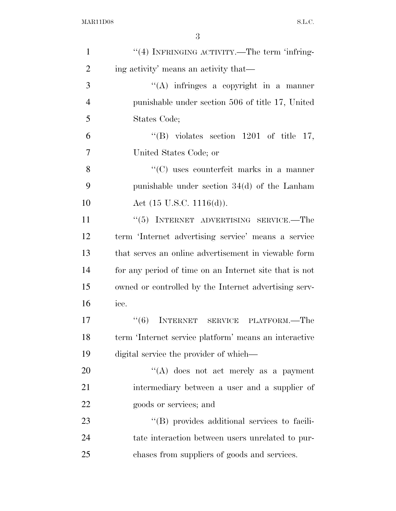| $\mathbf{1}$   | "(4) INFRINGING ACTIVITY.—The term 'infring-           |
|----------------|--------------------------------------------------------|
| $\overline{2}$ | ing activity' means an activity that—                  |
| 3              | "(A) infringes a copyright in a manner                 |
| $\overline{4}$ | punishable under section 506 of title 17, United       |
| 5              | States Code;                                           |
| 6              | "(B) violates section 1201 of title 17,                |
| $\tau$         | United States Code; or                                 |
| 8              | $\lq\lq$ uses counterfeit marks in a manner            |
| 9              | punishable under section $34(d)$ of the Lanham         |
| 10             | Act $(15 \text{ U.S.C. } 1116(d)).$                    |
| 11             | "(5) INTERNET ADVERTISING SERVICE.—The                 |
| 12             | term 'Internet advertising service' means a service    |
| 13             | that serves an online advertisement in viewable form   |
| 14             | for any period of time on an Internet site that is not |
| 15             | owned or controlled by the Internet advertising serv-  |
| 16             | ice.                                                   |
| 17             | "(6) INTERNET SERVICE PLATFORM.—The                    |
| 18             | term 'Internet service platform' means an interactive  |
| 19             | digital service the provider of which—                 |
| 20             | "(A) does not act merely as a payment                  |
| 21             | intermediary between a user and a supplier of          |
| 22             | goods or services; and                                 |
| 23             | "(B) provides additional services to facili-           |
| 24             | tate interaction between users unrelated to pur-       |
| 25             | chases from suppliers of goods and services.           |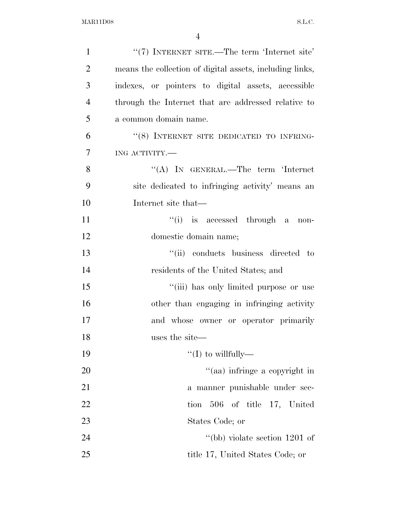| $\mathbf{1}$   | "(7) INTERNET SITE.—The term 'Internet site'             |
|----------------|----------------------------------------------------------|
| $\overline{2}$ | means the collection of digital assets, including links, |
| 3              | indexes, or pointers to digital assets, accessible       |
| $\overline{4}$ | through the Internet that are addressed relative to      |
| 5              | a common domain name.                                    |
| 6              | "(8) INTERNET SITE DEDICATED TO INFRING-                 |
| 7              | ING ACTIVITY.                                            |
| 8              | "(A) IN GENERAL.—The term 'Internet                      |
| 9              | site dedicated to infringing activity' means an          |
| 10             | Internet site that—                                      |
| 11             | "(i) is accessed through a<br>non-                       |
| 12             | domestic domain name;                                    |
| 13             | "(ii) conducts business directed to                      |
| 14             | residents of the United States; and                      |
| 15             | "(iii) has only limited purpose or use                   |
| 16             | other than engaging in infringing activity               |
| 17             | and whose owner or operator primarily                    |
| 18             | uses the site—                                           |
| 19             | "(I) to willfully—                                       |
| 20             | "(aa) infringe a copyright in                            |
| 21             | a manner punishable under sec-                           |
| 22             | 506 of title 17, United<br>tion                          |
| 23             | States Code; or                                          |
| 24             | "(bb) violate section $1201$ of                          |
| 25             | title 17, United States Code; or                         |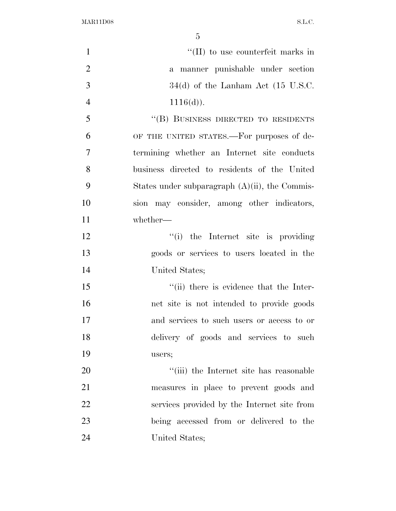| $\mathbf{1}$   | $\lq\lq$ (II) to use counterfeit marks in         |
|----------------|---------------------------------------------------|
| $\overline{2}$ | a manner punishable under section                 |
| 3              | $34(d)$ of the Lanham Act (15 U.S.C.              |
| $\overline{4}$ | $1116(d)$ ).                                      |
| 5              | "(B) BUSINESS DIRECTED TO RESIDENTS               |
| 6              | OF THE UNITED STATES.—For purposes of de-         |
| 7              | termining whether an Internet site conducts       |
| 8              | business directed to residents of the United      |
| 9              | States under subparagraph $(A)(ii)$ , the Commis- |
| 10             | sion may consider, among other indicators,        |
| 11             | whether-                                          |
| 12             | "(i) the Internet site is providing               |
| 13             | goods or services to users located in the         |
| 14             | United States;                                    |
| 15             | "(ii) there is evidence that the Inter-           |
| 16             | net site is not intended to provide goods         |
| 17             | and services to such users or access to or        |
| 18             | delivery of goods and services to such            |
| 19             | users;                                            |
| 20             | "(iii) the Internet site has reasonable           |
| 21             | measures in place to prevent goods and            |
| 22             | services provided by the Internet site from       |
| 23             | being accessed from or delivered to the           |
| 24             | United States;                                    |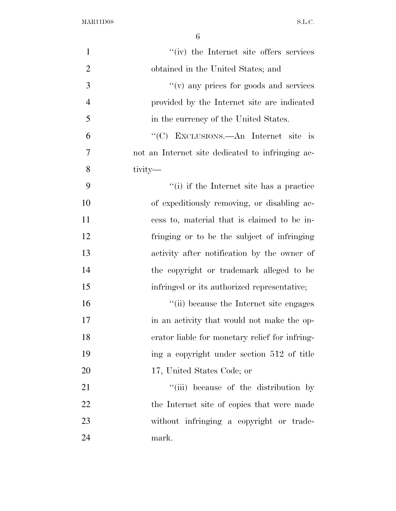| $\mathbf{1}$   | "(iv) the Internet site offers services          |
|----------------|--------------------------------------------------|
| $\overline{2}$ | obtained in the United States; and               |
| 3              | "(v) any prices for goods and services           |
| $\overline{4}$ | provided by the Internet site are indicated      |
| 5              | in the currency of the United States.            |
| 6              | "(C) EXCLUSIONS.—An Internet site is             |
| 7              | not an Internet site dedicated to infringing ac- |
| 8              | tivity—                                          |
| 9              | "(i) if the Internet site has a practice         |
| 10             | of expeditiously removing, or disabling ac-      |
| 11             | cess to, material that is claimed to be in-      |
| 12             | fringing or to be the subject of infringing      |
| 13             | activity after notification by the owner of      |
| 14             | the copyright or trademark alleged to be         |
| 15             | infringed or its authorized representative;      |
| 16             | "(ii) because the Internet site engages          |
| 17             | in an activity that would not make the op-       |
| 18             | erator liable for monetary relief for infring-   |
| 19             | ing a copyright under section 512 of title       |
| 20             | 17, United States Code; or                       |
| 21             | "(iii) because of the distribution by            |
| 22             | the Internet site of copies that were made       |
| 23             | without infringing a copyright or trade-         |
| 24             | mark.                                            |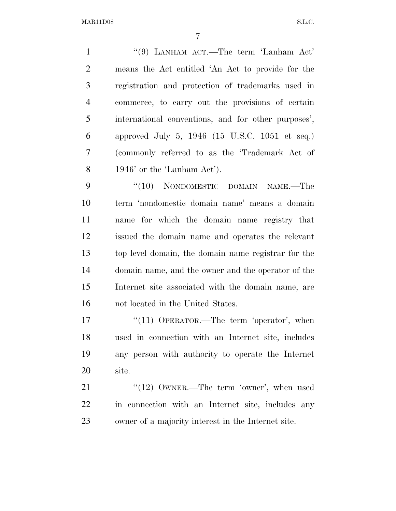1 ''(9) LANHAM ACT.—The term 'Lanham Act' means the Act entitled 'An Act to provide for the registration and protection of trademarks used in commerce, to carry out the provisions of certain international conventions, and for other purposes', approved July 5, 1946 (15 U.S.C. 1051 et seq.) (commonly referred to as the 'Trademark Act of 1946' or the 'Lanham Act').

9 "(10) NONDOMESTIC DOMAIN NAME.—The term 'nondomestic domain name' means a domain name for which the domain name registry that issued the domain name and operates the relevant top level domain, the domain name registrar for the domain name, and the owner and the operator of the Internet site associated with the domain name, are not located in the United States.

17 "(11) OPERATOR.—The term 'operator', when used in connection with an Internet site, includes any person with authority to operate the Internet site.

21 ''(12) OWNER.—The term 'owner', when used in connection with an Internet site, includes any owner of a majority interest in the Internet site.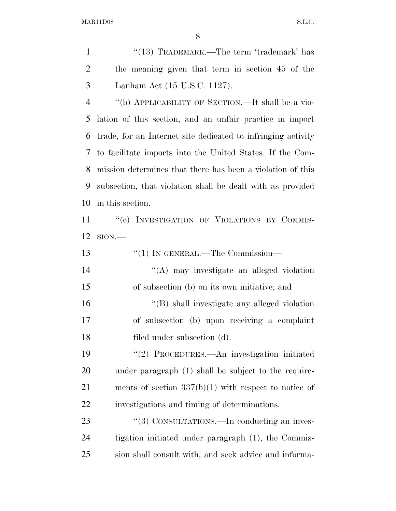1 ''(13) TRADEMARK.—The term 'trademark' has the meaning given that term in section 45 of the Lanham Act (15 U.S.C. 1127).

 ''(b) APPLICABILITY OF SECTION.—It shall be a vio- lation of this section, and an unfair practice in import trade, for an Internet site dedicated to infringing activity to facilitate imports into the United States. If the Com- mission determines that there has been a violation of this subsection, that violation shall be dealt with as provided in this section.

11 ""(c) INVESTIGATION OF VIOLATIONS BY COMMIS-SION.—

| 13               | $\lq(1)$ In GENERAL.—The Commission—                   |
|------------------|--------------------------------------------------------|
| 14               | $\lq\lq$ may investigate an alleged violation          |
| 15               | of subsection (b) on its own initiative; and           |
| 16               | "(B) shall investigate any alleged violation           |
| 17               | of subsection (b) upon receiving a complaint           |
| 18               | filed under subsection (d).                            |
| 19               | "(2) PROCEDURES.—An investigation initiated            |
| 20               | under paragraph (1) shall be subject to the require-   |
| 21               | ments of section $337(b)(1)$ with respect to notice of |
| 22               | investigations and timing of determinations.           |
| 23               | "(3) CONSULTATIONS.—In conducting an inves-            |
| $\sim$ $\lambda$ |                                                        |

 tigation initiated under paragraph (1), the Commis-sion shall consult with, and seek advice and informa-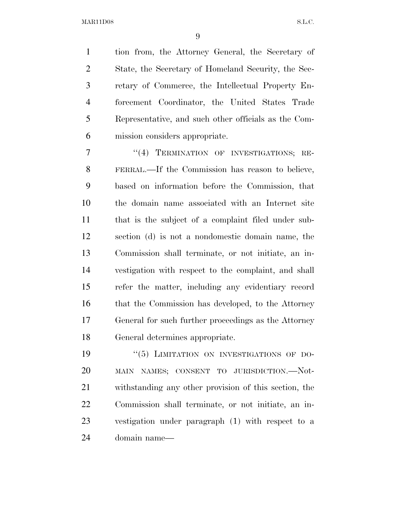tion from, the Attorney General, the Secretary of State, the Secretary of Homeland Security, the Sec- retary of Commerce, the Intellectual Property En- forcement Coordinator, the United States Trade Representative, and such other officials as the Com-mission considers appropriate.

7 "(4) TERMINATION OF INVESTIGATIONS; RE- FERRAL.—If the Commission has reason to believe, based on information before the Commission, that the domain name associated with an Internet site that is the subject of a complaint filed under sub- section (d) is not a nondomestic domain name, the Commission shall terminate, or not initiate, an in- vestigation with respect to the complaint, and shall refer the matter, including any evidentiary record 16 that the Commission has developed, to the Attorney General for such further proceedings as the Attorney General determines appropriate.

 $(5)$  LIMITATION ON INVESTIGATIONS OF DO- MAIN NAMES; CONSENT TO JURISDICTION.—Not- withstanding any other provision of this section, the Commission shall terminate, or not initiate, an in- vestigation under paragraph (1) with respect to a domain name—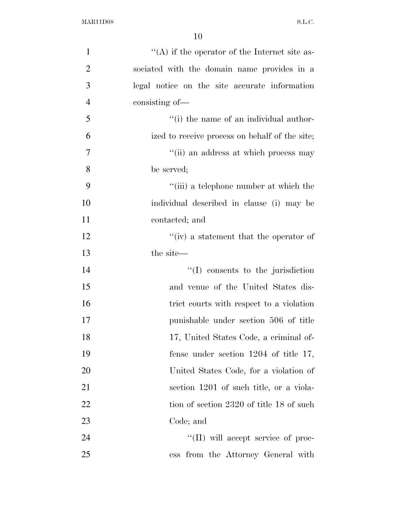| $\mathbf{1}$   | $\lq\lq$ if the operator of the Internet site as- |
|----------------|---------------------------------------------------|
| 2              | sociated with the domain name provides in a       |
| 3              | legal notice on the site accurate information     |
| $\overline{4}$ | consisting of-                                    |
| 5              | "(i) the name of an individual author-            |
| 6              | ized to receive process on behalf of the site;    |
| 7              | "(ii) an address at which process may             |
| 8              | be served;                                        |
| 9              | "(iii) a telephone number at which the            |
| 10             | individual described in clause (i) may be         |
| 11             | contacted; and                                    |
| 12             | "(iv) a statement that the operator of            |
| 13             | the site—                                         |
| 14             | "(I) consents to the jurisdiction                 |
| 15             | and venue of the United States dis-               |
| 16             | trict courts with respect to a violation          |
| 17             | punishable under section 506 of title             |
| 18             | 17, United States Code, a criminal of-            |
| 19             | fense under section $1204$ of title 17,           |
| 20             | United States Code, for a violation of            |
| 21             | section 1201 of such title, or a viola-           |
| 22             | tion of section 2320 of title 18 of such          |
| 23             | Code; and                                         |
| 24             | $\lq\lq$ (II) will accept service of proc-        |
| 25             | ess from the Attorney General with                |
|                |                                                   |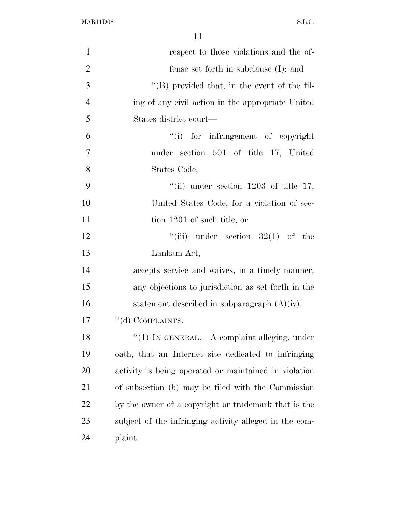| $\mathbf{1}$   | respect to those violations and the of-                |
|----------------|--------------------------------------------------------|
| $\overline{2}$ | fense set forth in subclause $(I)$ ; and               |
| 3              | $\lq\lq$ (B) provided that, in the event of the fil-   |
| $\overline{4}$ | ing of any civil action in the appropriate United      |
| 5              | States district court—                                 |
| 6              | ``(i)<br>for infringement of copyright                 |
| $\overline{7}$ | under section 501 of title 17, United                  |
| 8              | States Code,                                           |
| 9              | "(ii) under section $1203$ of title 17,                |
| 10             | United States Code, for a violation of sec-            |
| 11             | tion 1201 of such title, or                            |
| 12             | ``(iii)<br>under section $32(1)$ of the                |
| 13             | Lanham Act,                                            |
| 14             | accepts service and waives, in a timely manner,        |
| 15             | any objections to jurisdiction as set forth in the     |
| 16             | statement described in subparagraph $(A)(iv)$ .        |
| 17             | "(d) COMPLAINTS.—                                      |
| 18             | $``(1)$ IN GENERAL.—A complaint alleging, under        |
| 19             | oath, that an Internet site dedicated to infringing    |
| 20             | activity is being operated or maintained in violation  |
| 21             | of subsection (b) may be filed with the Commission     |
| 22             | by the owner of a copyright or trademark that is the   |
| 23             | subject of the infringing activity alleged in the com- |
| 24             | plaint.                                                |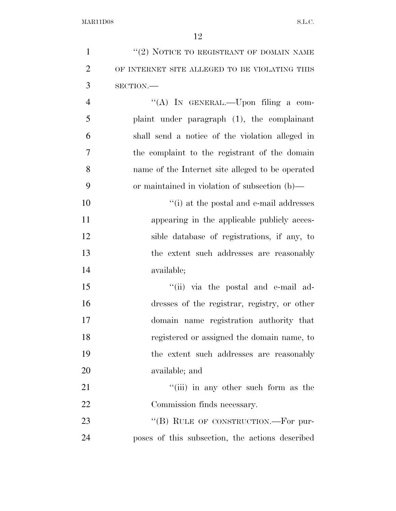| $\mathbf{1}$   | "(2) NOTICE TO REGISTRANT OF DOMAIN NAME         |
|----------------|--------------------------------------------------|
| $\overline{2}$ | OF INTERNET SITE ALLEGED TO BE VIOLATING THIS    |
| 3              | SECTION.                                         |
| $\overline{4}$ | "(A) IN GENERAL.—Upon filing a com-              |
| 5              | plaint under paragraph (1), the complainant      |
| 6              | shall send a notice of the violation alleged in  |
| 7              | the complaint to the registrant of the domain    |
| 8              | name of the Internet site alleged to be operated |
| 9              | or maintained in violation of subsection (b)—    |
| 10             | "(i) at the postal and e-mail addresses          |
| 11             | appearing in the applicable publicly acces-      |
| 12             | sible database of registrations, if any, to      |
| 13             | the extent such addresses are reasonably         |
| 14             | available;                                       |
| 15             | "(ii) via the postal and e-mail ad-              |
| 16             | dresses of the registrar, registry, or other     |
| 17             | domain name registration authority that          |
| 18             | registered or assigned the domain name, to       |
| 19             | the extent such addresses are reasonably         |
| 20             | available; and                                   |
| 21             | "(iii) in any other such form as the             |
| 22             | Commission finds necessary.                      |
| 23             | "(B) RULE OF CONSTRUCTION.—For pur-              |
| 24             | poses of this subsection, the actions described  |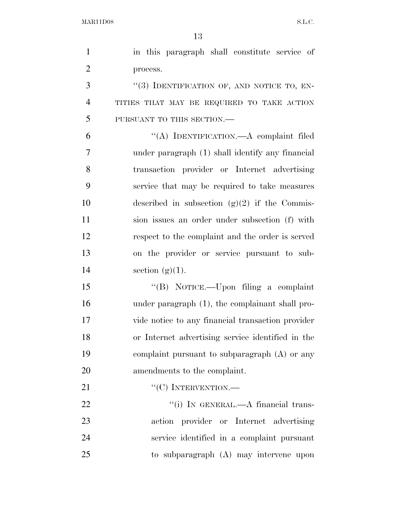| $\mathbf{1}$   | in this paragraph shall constitute service of     |
|----------------|---------------------------------------------------|
|                |                                                   |
| $\overline{2}$ | process.                                          |
| 3              | "(3) IDENTIFICATION OF, AND NOTICE TO, EN-        |
| $\overline{4}$ | TITIES THAT MAY BE REQUIRED TO TAKE ACTION        |
| 5              | PURSUANT TO THIS SECTION.-                        |
| 6              | "(A) IDENTIFICATION.—A complaint filed            |
| 7              | under paragraph (1) shall identify any financial  |
| 8              | transaction provider or Internet advertising      |
| 9              | service that may be required to take measures     |
| 10             | described in subsection $(g)(2)$ if the Commis-   |
| 11             | sion issues an order under subsection (f) with    |
| 12             | respect to the complaint and the order is served  |
| 13             | on the provider or service pursuant to sub-       |
| 14             | section $(g)(1)$ .                                |
| 15             | "(B) NOTICE.—Upon filing a complaint              |
| 16             | under paragraph (1), the complainant shall pro-   |
| 17             | vide notice to any financial transaction provider |
| 18             | or Internet advertising service identified in the |
| 19             | complaint pursuant to subparagraph $(A)$ or any   |
| 20             | amendments to the complaint.                      |
| 21             | $``(C)$ INTERVENTION.—                            |
| 22             | "(i) IN GENERAL.— $A$ financial trans-            |
| 23             | action provider or Internet advertising           |
| 24             | service identified in a complaint pursuant        |
| 25             | to subparagraph (A) may intervene upon            |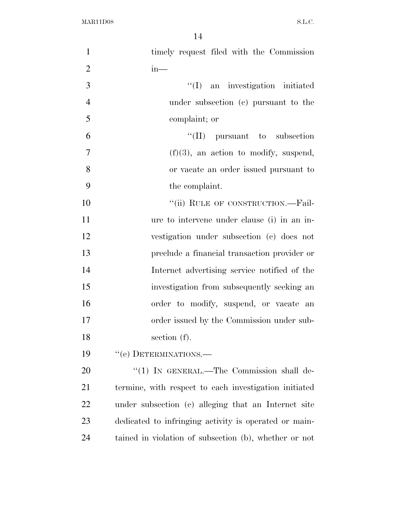| $\mathbf{1}$   | timely request filed with the Commission              |
|----------------|-------------------------------------------------------|
| $\overline{2}$ | $in-$                                                 |
| 3              | $\lq\lq$ (I) an investigation initiated               |
| $\overline{4}$ | under subsection (c) pursuant to the                  |
| 5              | complaint; or                                         |
| 6              | $\lq\lq$ (II) pursuant to subsection                  |
| $\tau$         | $(f)(3)$ , an action to modify, suspend,              |
| 8              | or vacate an order issued pursuant to                 |
| 9              | the complaint.                                        |
| 10             | "(ii) RULE OF CONSTRUCTION.—Fail-                     |
| 11             | ure to intervene under clause (i) in an in-           |
| 12             | vestigation under subsection (c) does not             |
| 13             | preclude a financial transaction provider or          |
| 14             | Internet advertising service notified of the          |
| 15             | investigation from subsequently seeking an            |
| 16             | order to modify, suspend, or vacate an                |
| 17             | order issued by the Commission under sub-             |
| 18             | section $(f)$ .                                       |
| 19             | "(e) DETERMINATIONS.—                                 |
| 20             | " $(1)$ In GENERAL.—The Commission shall de-          |
| 21             | termine, with respect to each investigation initiated |
| 22             | under subsection (c) alleging that an Internet site   |
| 23             | dedicated to infringing activity is operated or main- |
| 24             | tained in violation of subsection (b), whether or not |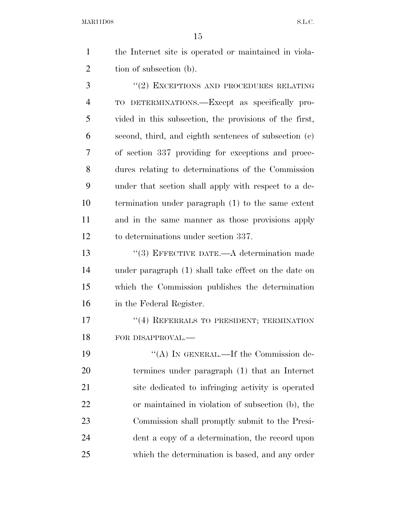|                | ŦЭ                                                     |
|----------------|--------------------------------------------------------|
| $\mathbf{1}$   | the Internet site is operated or maintained in viola-  |
| $\overline{2}$ | tion of subsection (b).                                |
| 3              | "(2) EXCEPTIONS AND PROCEDURES RELATING                |
| $\overline{4}$ | TO DETERMINATIONS.—Except as specifically pro-         |
| 5              | vided in this subsection, the provisions of the first, |
| 6              | second, third, and eighth sentences of subsection (c)  |
| 7              | of section 337 providing for exceptions and proce-     |
| 8              | dures relating to determinations of the Commission     |
| 9              | under that section shall apply with respect to a de-   |
| 10             | termination under paragraph (1) to the same extent     |
| 11             | and in the same manner as those provisions apply       |
| 12             | to determinations under section 337.                   |
| 13             | $\lq(3)$ EFFECTIVE DATE.—A determination made          |
| 14             | under paragraph (1) shall take effect on the date on   |

 which the Commission publishes the determination in the Federal Register.

17 <sup>''(4)</sup> REFERRALS TO PRESIDENT; TERMINATION 18 FOR DISAPPROVAL.—

19 "(A) IN GENERAL.—If the Commission de- termines under paragraph (1) that an Internet site dedicated to infringing activity is operated or maintained in violation of subsection (b), the Commission shall promptly submit to the Presi- dent a copy of a determination, the record upon which the determination is based, and any order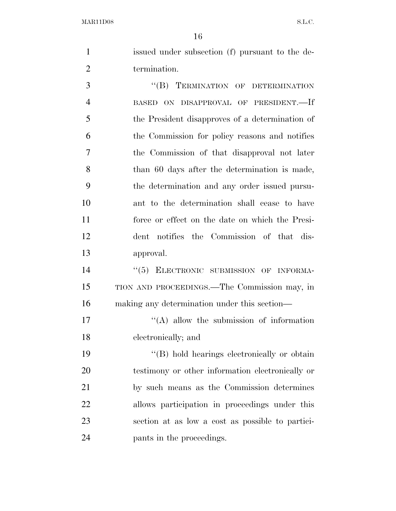issued under subsection (f) pursuant to the de-termination.

3 "(B) TERMINATION OF DETERMINATION BASED ON DISAPPROVAL OF PRESIDENT.—If the President disapproves of a determination of the Commission for policy reasons and notifies the Commission of that disapproval not later than 60 days after the determination is made, the determination and any order issued pursu- ant to the determination shall cease to have force or effect on the date on which the Presi- dent notifies the Commission of that dis-approval.

14 "(5) ELECTRONIC SUBMISSION OF INFORMA- TION AND PROCEEDINGS.—The Commission may, in making any determination under this section—

17 ''(A) allow the submission of information electronically; and

 $\langle \text{B} \rangle$  hold hearings electronically or obtain testimony or other information electronically or by such means as the Commission determines allows participation in proceedings under this section at as low a cost as possible to partici-pants in the proceedings.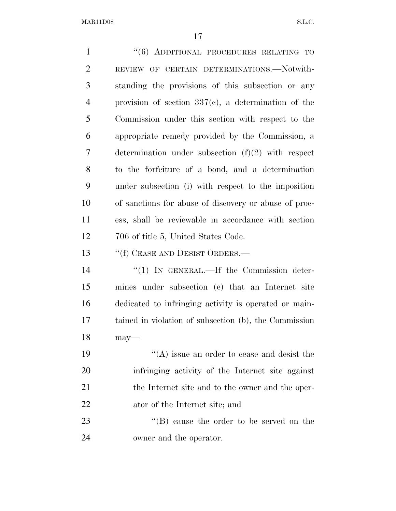| $\mathbf{1}$   | "(6) ADDITIONAL PROCEDURES RELATING TO                 |
|----------------|--------------------------------------------------------|
| $\overline{2}$ | REVIEW OF CERTAIN DETERMINATIONS.-Notwith-             |
| 3              | standing the provisions of this subsection or any      |
| $\overline{4}$ | provision of section $337(e)$ , a determination of the |
| 5              | Commission under this section with respect to the      |
| 6              | appropriate remedy provided by the Commission, a       |
| 7              | determination under subsection $(f)(2)$ with respect   |
| 8              | to the forfeiture of a bond, and a determination       |
| 9              | under subsection (i) with respect to the imposition    |
| 10             | of sanctions for abuse of discovery or abuse of proc-  |
| 11             | ess, shall be reviewable in accordance with section    |
| 12             | 706 of title 5, United States Code.                    |
| 13             | "(f) CEASE AND DESIST ORDERS.—                         |
| 14             | $\lq(1)$ In GENERAL.—If the Commission deter-          |
| 15             | mines under subsection (e) that an Internet site       |
| 16             | dedicated to infringing activity is operated or main-  |
| 17             | tained in violation of subsection (b), the Commission  |
| 18             | $may$ —                                                |
| 19             | $\lq\lq$ issue an order to cease and desist the        |
| 20             | infringing activity of the Internet site against       |
| 21             | the Internet site and to the owner and the oper-       |
| 22             |                                                        |
|                | ator of the Internet site; and                         |
| 23             | "(B) cause the order to be served on the               |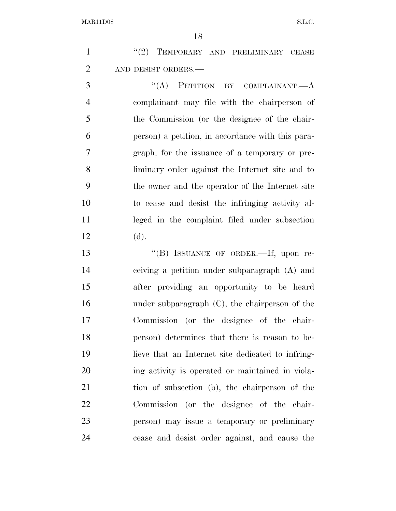1 ''(2) TEMPORARY AND PRELIMINARY CEASE AND DESIST ORDERS.—

3 "(A) PETITION BY COMPLAINANT.—A complainant may file with the chairperson of the Commission (or the designee of the chair- person) a petition, in accordance with this para- graph, for the issuance of a temporary or pre- liminary order against the Internet site and to the owner and the operator of the Internet site to cease and desist the infringing activity al- leged in the complaint filed under subsection (d).

13 "(B) ISSUANCE OF ORDER.—If, upon re- ceiving a petition under subparagraph (A) and after providing an opportunity to be heard under subparagraph (C), the chairperson of the Commission (or the designee of the chair- person) determines that there is reason to be- lieve that an Internet site dedicated to infring- ing activity is operated or maintained in viola- tion of subsection (b), the chairperson of the Commission (or the designee of the chair- person) may issue a temporary or preliminary cease and desist order against, and cause the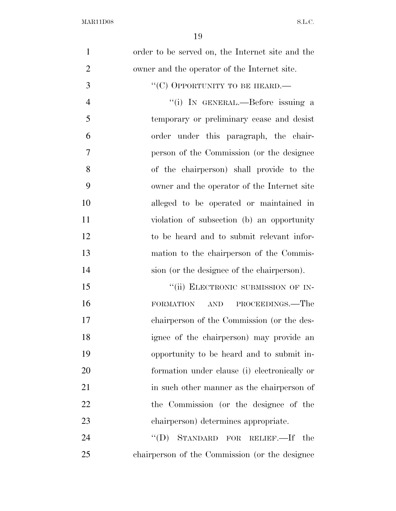| $\mathbf{1}$   | order to be served on, the Internet site and the |
|----------------|--------------------------------------------------|
| $\overline{2}$ | owner and the operator of the Internet site.     |
| 3              | "(C) OPPORTUNITY TO BE HEARD.—                   |
| $\overline{4}$ | "(i) IN GENERAL.—Before issuing a                |
| 5              | temporary or preliminary cease and desist        |
| 6              | order under this paragraph, the chair-           |
| 7              | person of the Commission (or the designee)       |
| 8              | of the chairperson) shall provide to the         |
| 9              | owner and the operator of the Internet site      |
| 10             | alleged to be operated or maintained in          |
| 11             | violation of subsection (b) an opportunity       |
| 12             | to be heard and to submit relevant infor-        |
| 13             | mation to the chairperson of the Commis-         |
| 14             | sion (or the designee of the chairperson).       |
| 15             | "(ii) ELECTRONIC SUBMISSION OF IN-               |
| 16             | PROCEEDINGS.—The<br><b>FORMATION</b><br>AND      |
| 17             | chairperson of the Commission (or the des-       |
| 18             | ignee of the chairperson) may provide an         |
| 19             | opportunity to be heard and to submit in-        |
| 20             | formation under clause (i) electronically or     |
| 21             | in such other manner as the chairperson of       |
| 22             | the Commission (or the designee of the           |
| 23             | chairperson) determines appropriate.             |
| 24             | "(D) STANDARD FOR RELIEF.—If the                 |
| 25             | chairperson of the Commission (or the designee)  |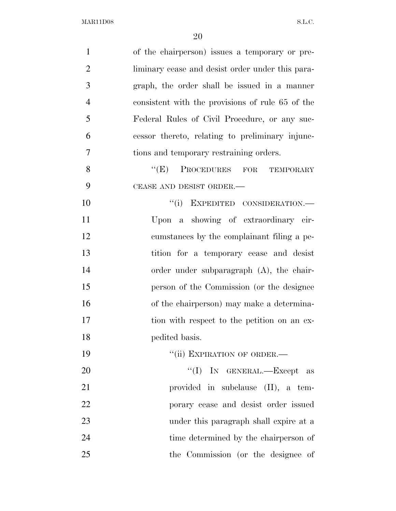| $\mathbf{1}$   | of the chairperson) issues a temporary or pre-   |
|----------------|--------------------------------------------------|
| $\overline{2}$ | liminary cease and desist order under this para- |
| 3              | graph, the order shall be issued in a manner     |
| $\overline{4}$ | consistent with the provisions of rule 65 of the |
| 5              | Federal Rules of Civil Procedure, or any suc-    |
| 6              | cessor thereto, relating to preliminary injunc-  |
| $\overline{7}$ | tions and temporary restraining orders.          |
| 8              | ``(E)<br>PROCEDURES FOR<br>TEMPORARY             |
| 9              | CEASE AND DESIST ORDER.-                         |
| 10             | "(i) EXPEDITED CONSIDERATION.-                   |
| 11             | Upon a showing of extraordinary cir-             |
| 12             | cumstances by the complainant filing a pe-       |
| 13             | tition for a temporary cease and desist          |
| 14             | order under subparagraph $(A)$ , the chair-      |
| 15             | person of the Commission (or the designee)       |
| 16             | of the chairperson) may make a determina-        |
| 17             | tion with respect to the petition on an ex-      |
| 18             | pedited basis.                                   |
| 19             | "(ii) EXPIRATION OF ORDER.-                      |
| 20             | "(I) IN GENERAL.—Except as                       |
| 21             | provided in subclause (II), a tem-               |
| 22             | porary cease and desist order issued             |
| 23             | under this paragraph shall expire at a           |
| 24             | time determined by the chairperson of            |
| 25             | the Commission (or the designee of               |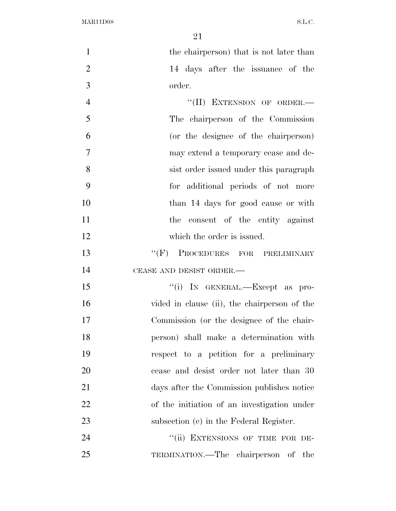| $\mathbf{1}$   | the chairperson) that is not later than      |
|----------------|----------------------------------------------|
| $\overline{2}$ | 14 days after the issuance of the            |
| 3              | order.                                       |
| $\overline{4}$ | "(II) EXTENSION OF ORDER.-                   |
| 5              | The chairperson of the Commission            |
| 6              | (or the designee of the chairperson)         |
| $\tau$         | may extend a temporary cease and de-         |
| 8              | sist order issued under this paragraph       |
| 9              | for additional periods of not more           |
| 10             | than 14 days for good cause or with          |
| 11             | consent of the entity against<br>the         |
| 12             | which the order is issued.                   |
| 13             | "(F) PROCEDURES FOR PRELIMINARY              |
| 14             | CEASE AND DESIST ORDER.-                     |
| 15             | "(i) IN GENERAL.—Except as pro-              |
| 16             | vided in clause (ii), the chairperson of the |
| 17             | Commission (or the designee of the chair-    |
| 18             | person) shall make a determination with      |
| 19             | respect to a petition for a preliminary      |
| 20             | cease and desist order not later than 30     |
| 21             | days after the Commission publishes notice   |
| 22             | of the initiation of an investigation under  |
| 23             | subsection (c) in the Federal Register.      |
| 24             | "(ii) EXTENSIONS OF TIME FOR DE-             |
| 25             | TERMINATION.—The chairperson of the          |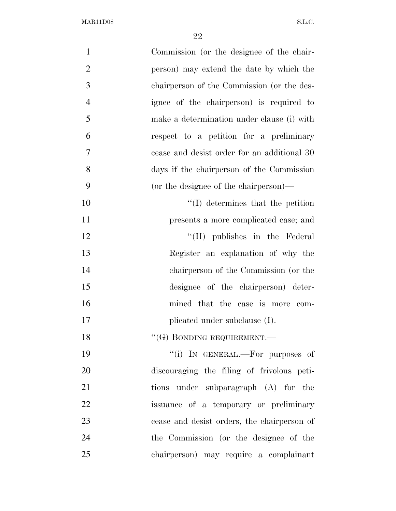| $\mathbf{1}$   | Commission (or the designee of the chair-   |
|----------------|---------------------------------------------|
| $\overline{2}$ | person) may extend the date by which the    |
| 3              | chairperson of the Commission (or the des-  |
| $\overline{4}$ | ignee of the chairperson) is required to    |
| 5              | make a determination under clause (i) with  |
| 6              | respect to a petition for a preliminary     |
| 7              | cease and desist order for an additional 30 |
| 8              | days if the chairperson of the Commission   |
| 9              | (or the designee of the chairperson)—       |
| 10             | $\lq\lq$ determines that the petition       |
| 11             | presents a more complicated case; and       |
| 12             | "(II) publishes in the Federal              |
| 13             | Register an explanation of why the          |
| 14             | chairperson of the Commission (or the       |
| 15             | designee of the chairperson) deter-         |
| 16             | mined that the case is more com-            |
| 17             | plicated under subclause (I).               |
| 18             | $``(G)$ BONDING REQUIREMENT.—               |
| 19             | "(i) IN GENERAL.—For purposes of            |
| 20             | discouraging the filing of frivolous peti-  |
| 21             | tions under subparagraph (A) for the        |
| 22             | issuance of a temporary or preliminary      |
| 23             | cease and desist orders, the chairperson of |
| 24             | the Commission (or the designee of the      |
| 25             | chairperson) may require a complainant      |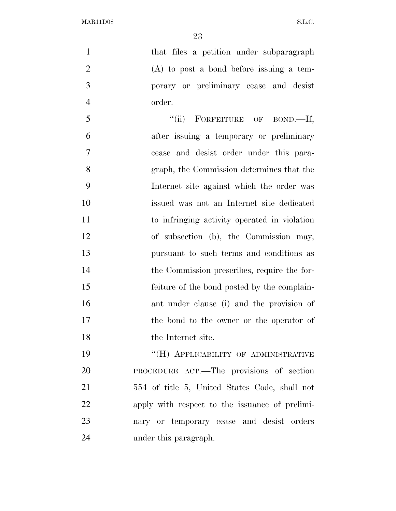1 that files a petition under subparagraph (A) to post a bond before issuing a tem- porary or preliminary cease and desist order.

5 "(ii) FORFEITURE OF BOND.—If, after issuing a temporary or preliminary cease and desist order under this para- graph, the Commission determines that the Internet site against which the order was issued was not an Internet site dedicated to infringing activity operated in violation of subsection (b), the Commission may, pursuant to such terms and conditions as the Commission prescribes, require the for- feiture of the bond posted by the complain- ant under clause (i) and the provision of the bond to the owner or the operator of 18 the Internet site.

**''(H) APPLICABILITY OF ADMINISTRATIVE**  PROCEDURE ACT.—The provisions of section 554 of title 5, United States Code, shall not apply with respect to the issuance of prelimi- nary or temporary cease and desist orders under this paragraph.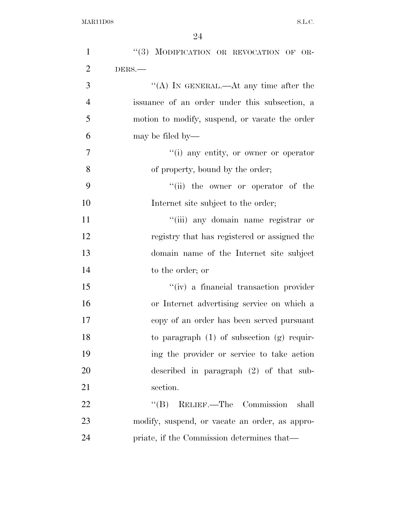| $\mathbf{1}$   | "(3) MODIFICATION OR REVOCATION OF OR-         |
|----------------|------------------------------------------------|
| $\overline{2}$ | DERS.-                                         |
| 3              | "(A) IN GENERAL.—At any time after the         |
| $\overline{4}$ | issuance of an order under this subsection, a  |
| 5              | motion to modify, suspend, or vacate the order |
| 6              | may be filed by—                               |
| $\tau$         | "(i) any entity, or owner or operator          |
| 8              | of property, bound by the order;               |
| 9              | "(ii) the owner or operator of the             |
| 10             | Internet site subject to the order;            |
| 11             | "(iii) any domain name registrar or            |
| 12             | registry that has registered or assigned the   |
| 13             | domain name of the Internet site subject       |
| 14             | to the order; or                               |
| 15             | "(iv) a financial transaction provider         |
| 16             | or Internet advertising service on which a     |
| 17             | copy of an order has been served pursuant      |
| 18             | to paragraph $(1)$ of subsection $(g)$ requir- |
| 19             | ing the provider or service to take action     |
| 20             | described in paragraph $(2)$ of that sub-      |
| 21             | section.                                       |
| 22             | "(B) RELIEF.—The Commission<br>shall           |
| 23             | modify, suspend, or vacate an order, as appro- |
| 24             | priate, if the Commission determines that—     |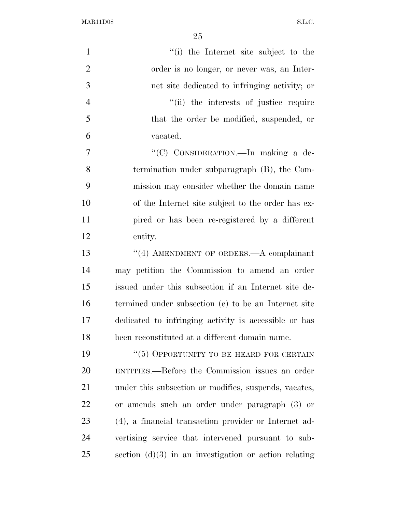| $\mathbf{1}$   | "(i) the Internet site subject to the                   |
|----------------|---------------------------------------------------------|
| $\overline{2}$ | order is no longer, or never was, an Inter-             |
| 3              | net site dedicated to infringing activity; or           |
| $\overline{4}$ | "(ii) the interests of justice require                  |
| 5              | that the order be modified, suspended, or               |
| 6              | vacated.                                                |
| $\overline{7}$ | "(C) CONSIDERATION.—In making a de-                     |
| 8              | termination under subparagraph (B), the Com-            |
| 9              | mission may consider whether the domain name            |
| 10             | of the Internet site subject to the order has ex-       |
| 11             | pired or has been re-registered by a different          |
| 12             | entity.                                                 |
| 13             | "(4) AMENDMENT OF ORDERS.—A complainant                 |
| 14             | may petition the Commission to amend an order           |
| 15             | issued under this subsection if an Internet site de-    |
| 16             | termined under subsection (e) to be an Internet site    |
| 17             | dedicated to infringing activity is accessible or has   |
| 18             | been reconstituted at a different domain name.          |
| 19             | "(5) OPPORTUNITY TO BE HEARD FOR CERTAIN                |
| 20             | ENTITIES.—Before the Commission issues an order         |
| 21             | under this subsection or modifies, suspends, vacates,   |
| 22             | or amends such an order under paragraph (3) or          |
| 23             | (4), a financial transaction provider or Internet ad-   |
| 24             | vertising service that intervened pursuant to sub-      |
| 25             | section $(d)(3)$ in an investigation or action relating |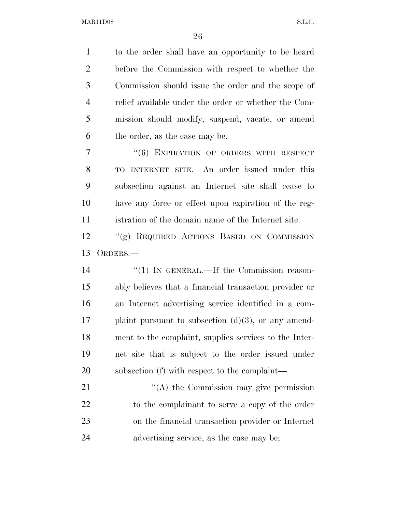to the order shall have an opportunity to be heard before the Commission with respect to whether the Commission should issue the order and the scope of relief available under the order or whether the Com- mission should modify, suspend, vacate, or amend the order, as the case may be. 7 "(6) EXPIRATION OF ORDERS WITH RESPECT TO INTERNET SITE.—An order issued under this subsection against an Internet site shall cease to have any force or effect upon expiration of the reg- istration of the domain name of the Internet site. ''(g) REQUIRED ACTIONS BASED ON COMMISSION ORDERS.—  $\frac{1}{2}$  (1) In GENERAL.—If the Commission reason-

 ably believes that a financial transaction provider or an Internet advertising service identified in a com- plaint pursuant to subsection  $(d)(3)$ , or any amend- ment to the complaint, supplies services to the Inter- net site that is subject to the order issued under subsection (f) with respect to the complaint—

21 "'(A) the Commission may give permission to the complainant to serve a copy of the order on the financial transaction provider or Internet advertising service, as the case may be;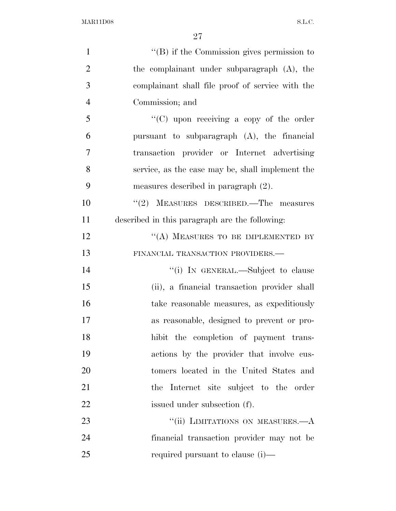| $\mathbf{1}$   | $\lq\lq$ ) if the Commission gives permission to |
|----------------|--------------------------------------------------|
| $\overline{2}$ | the complainant under subparagraph (A), the      |
| 3              | complainant shall file proof of service with the |
| $\overline{4}$ | Commission; and                                  |
| 5              | "(C) upon receiving a copy of the order          |
| 6              | pursuant to subparagraph $(A)$ , the financial   |
| $\overline{7}$ | transaction provider or Internet advertising     |
| 8              | service, as the case may be, shall implement the |
| 9              | measures described in paragraph $(2)$ .          |
| 10             | $\lq(2)$ MEASURES DESCRIBED.—The measures        |
| 11             | described in this paragraph are the following:   |
| 12             | "(A) MEASURES TO BE IMPLEMENTED BY               |
| 13             | FINANCIAL TRANSACTION PROVIDERS.-                |
| 14             | "(i) IN GENERAL.—Subject to clause               |
| 15             | (ii), a financial transaction provider shall     |
| 16             | take reasonable measures, as expeditiously       |
| 17             | as reasonable, designed to prevent or pro-       |
| 18             | hibit the completion of payment trans-           |
| 19             | actions by the provider that involve cus-        |
| 20             | tomers located in the United States and          |
| 21             | the Internet site subject to the order           |
| 22             | issued under subsection (f).                     |
| 23             | "(ii) LIMITATIONS ON MEASURES.—A                 |
| 24             | financial transaction provider may not be        |
| 25             | required pursuant to clause (i)—                 |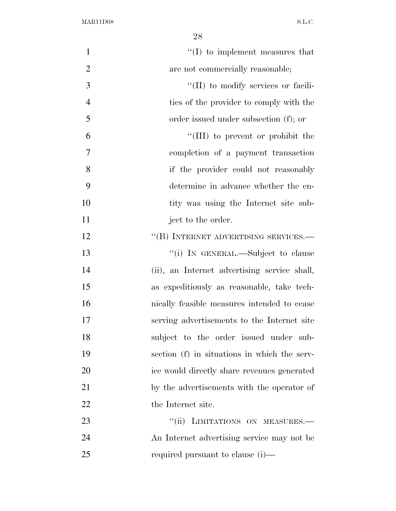| $\mathbf{1}$   | $\lq\lq$ to implement measures that          |
|----------------|----------------------------------------------|
| $\overline{2}$ | are not commercially reasonable;             |
| 3              | "(II) to modify services or facili-          |
| $\overline{4}$ | ties of the provider to comply with the      |
| 5              | order issued under subsection (f); or        |
| 6              | "(III) to prevent or prohibit the            |
| 7              | completion of a payment transaction          |
| 8              | if the provider could not reasonably         |
| 9              | determine in advance whether the en-         |
| 10             | tity was using the Internet site sub-        |
| 11             | ject to the order.                           |
| 12             | "(B) INTERNET ADVERTISING SERVICES.-         |
| 13             | "(i) IN GENERAL.—Subject to clause           |
| 14             | (ii), an Internet advertising service shall, |
| 15             | as expeditiously as reasonable, take tech-   |
| 16             | nically feasible measures intended to cease  |
| 17             | serving advertisements to the Internet site  |
| 18             | subject to the order issued under sub-       |
| 19             | section (f) in situations in which the serv- |
| 20             | ice would directly share revenues generated  |
| 21             | by the advertisements with the operator of   |
| 22             | the Internet site.                           |
| 23             | "(ii) LIMITATIONS ON MEASURES.-              |
| 24             | An Internet advertising service may not be   |
| 25             | required pursuant to clause (i)—             |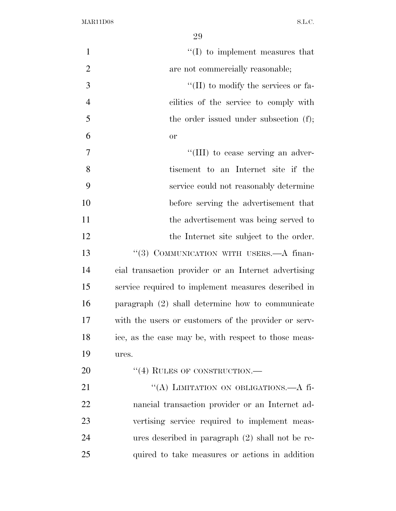| $\mathbf{1}$   | $\lq\lq$ to implement measures that                  |
|----------------|------------------------------------------------------|
| $\overline{2}$ | are not commercially reasonable;                     |
| 3              | $\lq\lq$ (II) to modify the services or fa-          |
| $\overline{4}$ | cilities of the service to comply with               |
| 5              | the order issued under subsection (f);               |
| 6              | <b>or</b>                                            |
| $\overline{7}$ | "(III) to cease serving an adver-                    |
| 8              | tisement to an Internet site if the                  |
| 9              | service could not reasonably determine               |
| 10             | before serving the advertisement that                |
| 11             | the advertisement was being served to                |
| 12             | the Internet site subject to the order.              |
| 13             | "(3) COMMUNICATION WITH USERS.—A finan-              |
| 14             | cial transaction provider or an Internet advertising |
| 15             | service required to implement measures described in  |
| 16             | paragraph (2) shall determine how to communicate     |
| 17             | with the users or customers of the provider or serv- |
| 18             | ice, as the case may be, with respect to those meas- |
| 19             | ures.                                                |
| 20             | $``(4)$ RULES OF CONSTRUCTION.—                      |
| 21             | "(A) LIMITATION ON OBLIGATIONS.—A fi-                |
| 22             | nancial transaction provider or an Internet ad-      |
| 23             | vertising service required to implement meas-        |
| 24             | ures described in paragraph (2) shall not be re-     |
| 25             | quired to take measures or actions in addition       |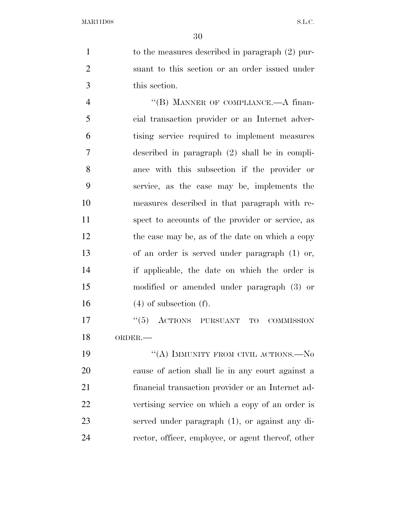to the measures described in paragraph (2) pur- suant to this section or an order issued under this section.

4 "(B) MANNER OF COMPLIANCE.—A finan- cial transaction provider or an Internet adver- tising service required to implement measures described in paragraph (2) shall be in compli- ance with this subsection if the provider or service, as the case may be, implements the measures described in that paragraph with re- spect to accounts of the provider or service, as 12 the case may be, as of the date on which a copy of an order is served under paragraph (1) or, if applicable, the date on which the order is modified or amended under paragraph (3) or (4) of subsection (f).

17 "(5) ACTIONS PURSUANT TO COMMISSION ORDER.—

19 "(A) IMMUNITY FROM CIVIL ACTIONS.—No cause of action shall lie in any court against a financial transaction provider or an Internet ad- vertising service on which a copy of an order is served under paragraph (1), or against any di-rector, officer, employee, or agent thereof, other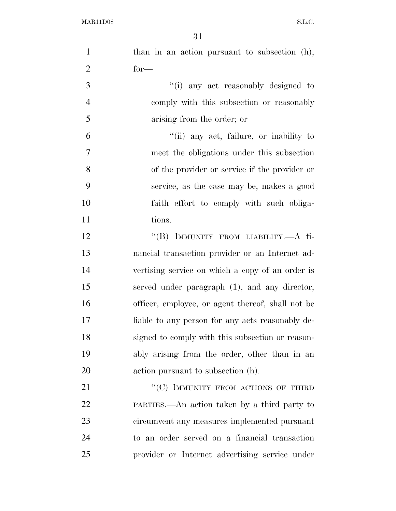| $\mathbf{1}$   | than in an action pursuant to subsection (h),     |
|----------------|---------------------------------------------------|
| $\overline{2}$ | $for-$                                            |
| 3              | "(i) any act reasonably designed to               |
| $\overline{4}$ | comply with this subsection or reasonably         |
| 5              | arising from the order; or                        |
| 6              | "(ii) any act, failure, or inability to           |
| 7              | meet the obligations under this subsection        |
| 8              | of the provider or service if the provider or     |
| 9              | service, as the case may be, makes a good         |
| 10             | faith effort to comply with such obliga-          |
| 11             | tions.                                            |
| 12             | "(B) IMMUNITY FROM LIABILITY.—A fi-               |
| 13             | nancial transaction provider or an Internet ad-   |
| 14             | vertising service on which a copy of an order is  |
| 15             | served under paragraph (1), and any director,     |
| 16             | officer, employee, or agent thereof, shall not be |
| 17             | liable to any person for any acts reasonably de-  |
| 18             | signed to comply with this subsection or reason-  |
| 19             | ably arising from the order, other than in an     |
| 20             | action pursuant to subsection (h).                |
| 21             | "(C) IMMUNITY FROM ACTIONS OF THIRD               |
| 22             | PARTIES.—An action taken by a third party to      |
| 23             | circumvent any measures implemented pursuant      |
| 24             | to an order served on a financial transaction     |
| 25             | provider or Internet advertising service under    |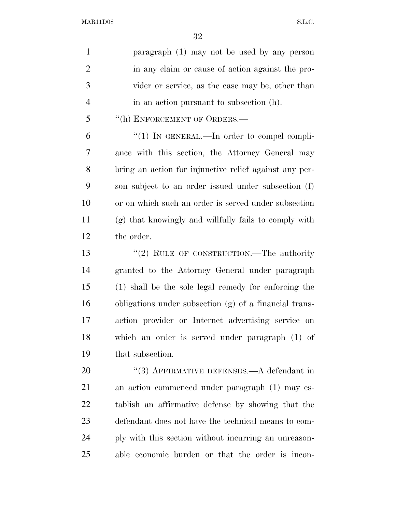| $\mathbf{1}$   | paragraph (1) may not be used by any person            |
|----------------|--------------------------------------------------------|
| $\overline{2}$ | in any claim or cause of action against the pro-       |
| 3              | vider or service, as the case may be, other than       |
| $\overline{4}$ | in an action pursuant to subsection (h).               |
| 5              | "(h) ENFORCEMENT OF ORDERS.-                           |
| 6              | "(1) IN GENERAL.—In order to compel compli-            |
| 7              | ance with this section, the Attorney General may       |
| 8              | bring an action for injunctive relief against any per- |
| 9              | son subject to an order issued under subsection (f)    |
| 10             | or on which such an order is served under subsection   |
| 11             | (g) that knowingly and willfully fails to comply with  |
| 12             | the order.                                             |
| 13             | "(2) RULE OF CONSTRUCTION.—The authority               |
| 14             | granted to the Attorney General under paragraph        |
| 15             | (1) shall be the sole legal remedy for enforcing the   |
| 16             | obligations under subsection (g) of a financial trans- |
| 17             | action provider or Internet advertising service on     |
| 18             | which an order is served under paragraph (1) of        |
| 19             | that subsection.                                       |
| 20             | $(3)$ AFFIRMATIVE DEFENSES.—A defendant in             |
| 21             | an action commenced under paragraph (1) may es-        |
| 22             | tablish an affirmative defense by showing that the     |
| 23             | defendant does not have the technical means to com-    |
| 24             | ply with this section without incurring an unreason-   |
| 25             | able economic burden or that the order is incon-       |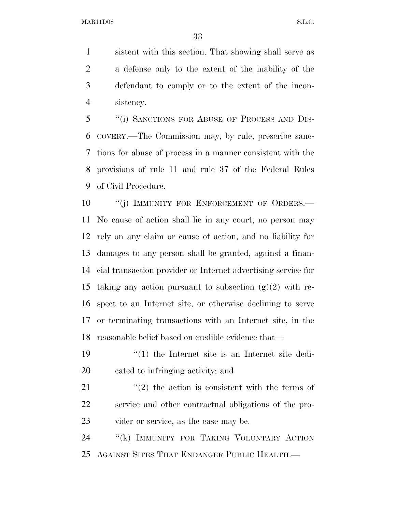sistent with this section. That showing shall serve as a defense only to the extent of the inability of the defendant to comply or to the extent of the incon-sistency.

 ''(i) SANCTIONS FOR ABUSE OF PROCESS AND DIS- COVERY.—The Commission may, by rule, prescribe sanc- tions for abuse of process in a manner consistent with the provisions of rule 11 and rule 37 of the Federal Rules of Civil Procedure.

10 "(j) IMMUNITY FOR ENFORCEMENT OF ORDERS.— No cause of action shall lie in any court, no person may rely on any claim or cause of action, and no liability for damages to any person shall be granted, against a finan- cial transaction provider or Internet advertising service for 15 taking any action pursuant to subsection  $(g)(2)$  with re- spect to an Internet site, or otherwise declining to serve or terminating transactions with an Internet site, in the reasonable belief based on credible evidence that—

 ''(1) the Internet site is an Internet site dedi-cated to infringing activity; and

21  $\frac{1}{2}$  the action is consistent with the terms of service and other contractual obligations of the pro-vider or service, as the case may be.

24 "(k) IMMUNITY FOR TAKING VOLUNTARY ACTION AGAINST SITES THAT ENDANGER PUBLIC HEALTH.—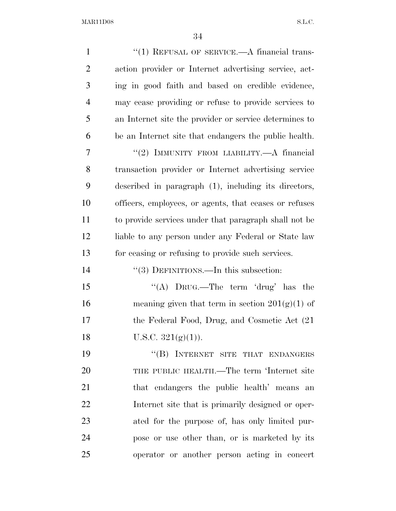| $\mathbf{1}$   | $``(1)$ REFUSAL OF SERVICE.—A financial trans-         |
|----------------|--------------------------------------------------------|
| $\overline{2}$ | action provider or Internet advertising service, act-  |
| 3              | ing in good faith and based on credible evidence,      |
| $\overline{4}$ | may cease providing or refuse to provide services to   |
| 5              | an Internet site the provider or service determines to |
| 6              | be an Internet site that endangers the public health.  |
| 7              | "(2) IMMUNITY FROM LIABILITY.—A financial              |
| 8              | transaction provider or Internet advertising service   |
| 9              | described in paragraph (1), including its directors,   |
| 10             | officers, employees, or agents, that ceases or refuses |
| 11             | to provide services under that paragraph shall not be  |
| 12             | liable to any person under any Federal or State law    |
| 13             | for ceasing or refusing to provide such services.      |
| 14             | $\cdot\cdot(3)$ DEFINITIONS.—In this subsection:       |
| 15             | "(A) $DruG$ .—The term 'drug' has the                  |
| 16             | meaning given that term in section $201(g)(1)$ of      |
| 17             | the Federal Food, Drug, and Cosmetic Act (21)          |
| 18             | U.S.C. $321(g)(1)$ ).                                  |
| 19             | "(B) INTERNET SITE THAT ENDANGERS                      |
| 20             | THE PUBLIC HEALTH.—The term 'Internet site             |
| 21             | that endangers the public health' means an             |
| 22             | Internet site that is primarily designed or oper-      |
| 23             | ated for the purpose of, has only limited pur-         |
| 24             | pose or use other than, or is marketed by its          |
| 25             | operator or another person acting in concert           |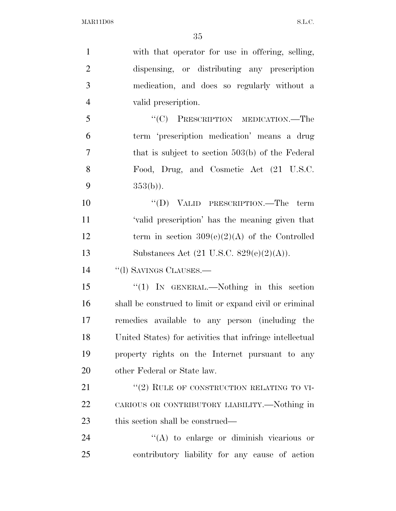| $\mathbf{1}$   | with that operator for use in offering, selling,           |
|----------------|------------------------------------------------------------|
| $\overline{2}$ | dispensing, or distributing any prescription               |
| 3              | medication, and does so regularly without a                |
| $\overline{4}$ | valid prescription.                                        |
| 5              | "(C) PRESCRIPTION MEDICATION.—The                          |
| 6              | term 'prescription medication' means a drug                |
| $\overline{7}$ | that is subject to section $503(b)$ of the Federal         |
| 8              | Food, Drug, and Cosmetic Act (21 U.S.C.                    |
| 9              | $353(b)$ ).                                                |
| 10             | $``(D)$ VALID PRESCRIPTION.—The term                       |
| 11             | 'valid prescription' has the meaning given that            |
| 12             | term in section $309(e)(2)(A)$ of the Controlled           |
| 13             | Substances Act $(21 \text{ U.S.C. } 829(e)(2)(\text{A})).$ |
| 14             | "(1) SAVINGS CLAUSES.—                                     |
| 15             | " $(1)$ IN GENERAL.—Nothing in this section                |
| 16             | shall be construed to limit or expand civil or criminal    |
| 17             | remedies available to any person (including the            |
| 18             | United States) for activities that infringe intellectual   |
| 19             | property rights on the Internet pursuant to any            |
| 20             | other Federal or State law.                                |
| 21             | "(2) RULE OF CONSTRUCTION RELATING TO VI-                  |
| 22             | CARIOUS OR CONTRIBUTORY LIABILITY.—Nothing in              |
| 23             | this section shall be construed—                           |
| 24             | $\lq\lq$ to enlarge or diminish vicarious or               |
| 25             | contributory liability for any cause of action             |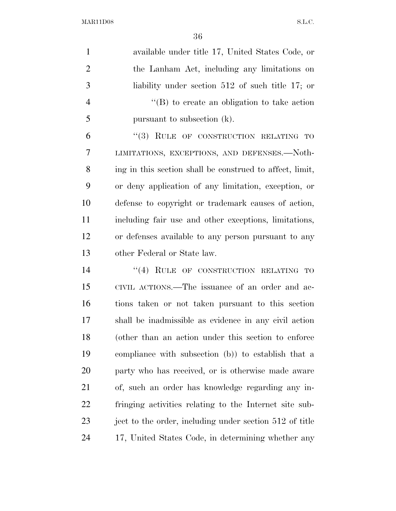available under title 17, United States Code, or the Lanham Act, including any limitations on liability under section 512 of such title 17; or ''(B) to create an obligation to take action pursuant to subsection (k).

6 "(3) RULE OF CONSTRUCTION RELATING TO LIMITATIONS, EXCEPTIONS, AND DEFENSES.—Noth- ing in this section shall be construed to affect, limit, or deny application of any limitation, exception, or defense to copyright or trademark causes of action, including fair use and other exceptions, limitations, or defenses available to any person pursuant to any other Federal or State law.

14 "(4) RULE OF CONSTRUCTION RELATING TO CIVIL ACTIONS.—The issuance of an order and ac- tions taken or not taken pursuant to this section shall be inadmissible as evidence in any civil action (other than an action under this section to enforce compliance with subsection (b)) to establish that a party who has received, or is otherwise made aware of, such an order has knowledge regarding any in- fringing activities relating to the Internet site sub-23 ject to the order, including under section 512 of title 17, United States Code, in determining whether any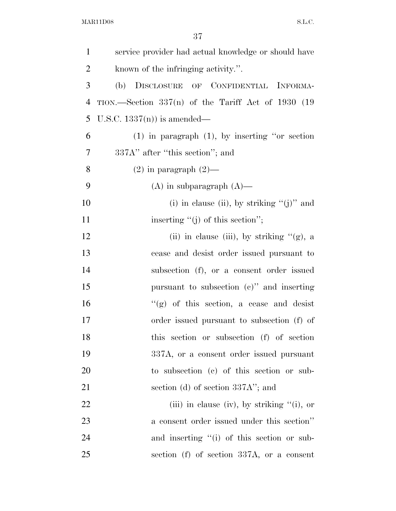| $\mathbf{1}$   | service provider had actual knowledge or should have |
|----------------|------------------------------------------------------|
| $\overline{2}$ | known of the infringing activity.".                  |
| 3              | (b) DISCLOSURE OF CONFIDENTIAL INFORMA-              |
| $\overline{4}$ | TION.—Section $337(n)$ of the Tariff Act of 1930 (19 |
| 5              | U.S.C. $1337(n)$ is amended—                         |
| 6              | $(1)$ in paragraph $(1)$ , by inserting "or section  |
| 7              | 337A" after "this section"; and                      |
| 8              | $(2)$ in paragraph $(2)$ —                           |
| 9              | $(A)$ in subparagraph $(A)$ —                        |
| 10             | (i) in clause (ii), by striking " $(j)$ " and        |
| 11             | inserting $\lq\lq(j)$ of this section";              |
| 12             | (ii) in clause (iii), by striking $\lq\lq$ (g), a    |
| 13             | cease and desist order issued pursuant to            |
| 14             | subsection (f), or a consent order issued            |
| 15             | pursuant to subsection $(e)$ " and inserting         |
| 16             | " $(g)$ of this section, a cease and desist          |
| 17             | order issued pursuant to subsection (f) of           |
| 18             | this section or subsection (f) of section            |
| 19             | 337A, or a consent order issued pursuant             |
| 20             | to subsection (c) of this section or sub-            |
| 21             | section (d) of section $337A$ "; and                 |
| 22             | (iii) in clause (iv), by striking $"(i)$ , or        |
| 23             | a consent order issued under this section"           |
| 24             | and inserting "(i) of this section or sub-           |
| 25             | section (f) of section 337A, or a consent            |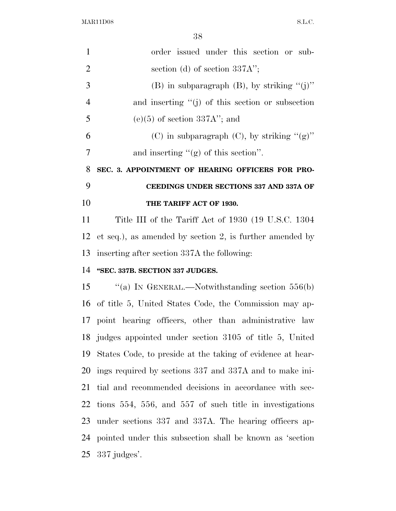| $\mathbf{1}$   | order issued under this section or sub-                    |
|----------------|------------------------------------------------------------|
| $\overline{2}$ | section (d) of section $337A$ ";                           |
| 3              | (B) in subparagraph $(B)$ , by striking "(j)"              |
| $\overline{4}$ | and inserting $\lq\lq(j)$ of this section or subsection    |
| 5              | $(e)(5)$ of section 337A"; and                             |
| 6              | (C) in subparagraph (C), by striking " $(g)$ "             |
| $\overline{7}$ | and inserting $\lq\lq$ of this section".                   |
| 8              | SEC. 3. APPOINTMENT OF HEARING OFFICERS FOR PRO-           |
| 9              | CEEDINGS UNDER SECTIONS 337 AND 337A OF                    |
| 10             | THE TARIFF ACT OF 1930.                                    |
| 11             | Title III of the Tariff Act of 1930 (19 U.S.C. 1304)       |
| 12             | et seq.), as amended by section 2, is further amended by   |
|                | 13 inserting after section 337A the following:             |
| 14             | "SEC. 337B. SECTION 337 JUDGES.                            |
| 15             | "(a) IN GENERAL.—Notwithstanding section $556(b)$          |
|                | 16 of title 5, United States Code, the Commission may ap-  |
|                | 17 point hearing officers, other than administrative law   |
|                | 18 judges appointed under section 3105 of title 5, United  |
| 19             | States Code, to preside at the taking of evidence at hear- |
|                | 20 ings required by sections 337 and 337A and to make ini- |
| 21             | tial and recommended decisions in accordance with sec-     |
| 22             | tions 554, 556, and 557 of such title in investigations    |
| 23             | under sections 337 and 337A. The hearing officers ap-      |
| 24             | pointed under this subsection shall be known as 'section   |
| 25             | $337$ judges'.                                             |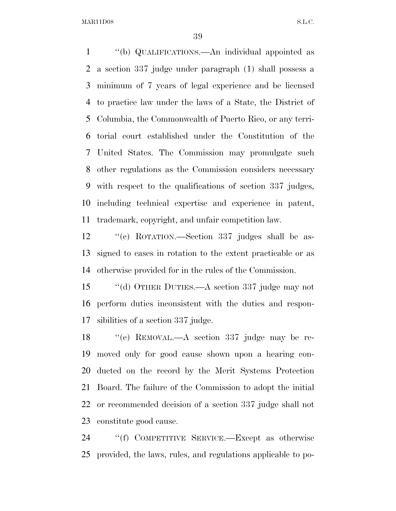''(b) QUALIFICATIONS.—An individual appointed as a section 337 judge under paragraph (1) shall possess a minimum of 7 years of legal experience and be licensed to practice law under the laws of a State, the District of Columbia, the Commonwealth of Puerto Rico, or any terri- torial court established under the Constitution of the United States. The Commission may promulgate such other regulations as the Commission considers necessary with respect to the qualifications of section 337 judges, including technical expertise and experience in patent, trademark, copyright, and unfair competition law.

 ''(c) ROTATION.—Section 337 judges shall be as- signed to cases in rotation to the extent practicable or as otherwise provided for in the rules of the Commission.

 ''(d) OTHER DUTIES.—A section 337 judge may not perform duties inconsistent with the duties and respon-sibilities of a section 337 judge.

 ''(e) REMOVAL.—A section 337 judge may be re- moved only for good cause shown upon a hearing con- ducted on the record by the Merit Systems Protection Board. The failure of the Commission to adopt the initial or recommended decision of a section 337 judge shall not constitute good cause.

 ''(f) COMPETITIVE SERVICE.—Except as otherwise provided, the laws, rules, and regulations applicable to po-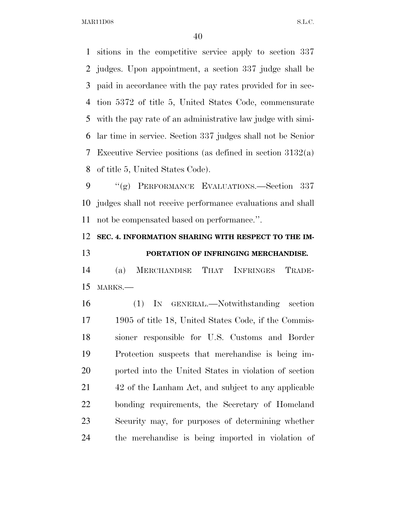sitions in the competitive service apply to section 337 judges. Upon appointment, a section 337 judge shall be paid in accordance with the pay rates provided for in sec- tion 5372 of title 5, United States Code, commensurate with the pay rate of an administrative law judge with simi- lar time in service. Section 337 judges shall not be Senior Executive Service positions (as defined in section 3132(a) of title 5, United States Code).

 ''(g) PERFORMANCE EVALUATIONS.—Section 337 judges shall not receive performance evaluations and shall not be compensated based on performance.''.

## **SEC. 4. INFORMATION SHARING WITH RESPECT TO THE IM-PORTATION OF INFRINGING MERCHANDISE.**

 (a) MERCHANDISE THAT INFRINGES TRADE-MARKS.—

 (1) IN GENERAL.—Notwithstanding section 1905 of title 18, United States Code, if the Commis- sioner responsible for U.S. Customs and Border Protection suspects that merchandise is being im- ported into the United States in violation of section 42 of the Lanham Act, and subject to any applicable bonding requirements, the Secretary of Homeland Security may, for purposes of determining whether the merchandise is being imported in violation of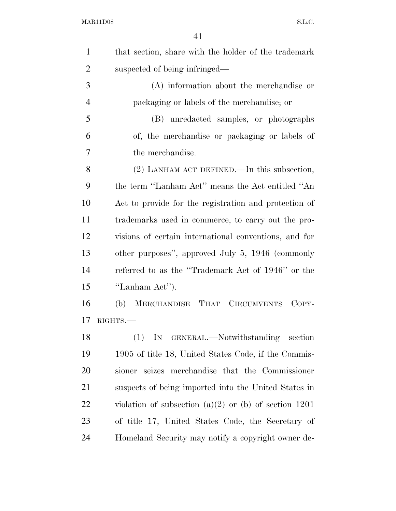| $\mathbf{1}$   | that section, share with the holder of the trademark    |
|----------------|---------------------------------------------------------|
| $\overline{2}$ | suspected of being infringed—                           |
| 3              | (A) information about the merchandise or                |
| $\overline{4}$ | packaging or labels of the merchandise; or              |
| 5              | (B) unredacted samples, or photographs                  |
| 6              | of, the merchandise or packaging or labels of           |
| 7              | the merchandise.                                        |
| 8              | $(2)$ LANHAM ACT DEFINED.—In this subsection,           |
| 9              | the term "Lanham Act" means the Act entitled "An        |
| 10             | Act to provide for the registration and protection of   |
| 11             | trademarks used in commerce, to carry out the pro-      |
| 12             | visions of certain international conventions, and for   |
| 13             | other purposes", approved July 5, 1946 (commonly        |
| 14             | referred to as the "Trademark Act of 1946" or the       |
| 15             | "Lanham Act").                                          |
| 16             | MERCHANDISE THAT CIRCUMVENTS<br>COPY-<br>(b)            |
| 17             | RIGHTS.-                                                |
| 18             | (1) IN GENERAL.—Notwithstanding section                 |
| 19             | 1905 of title 18, United States Code, if the Commis-    |
| 20             | sioner seizes merchandise that the Commissioner         |
| 21             | suspects of being imported into the United States in    |
| 22             | violation of subsection (a)(2) or (b) of section $1201$ |
| 23             | of title 17, United States Code, the Secretary of       |
| 24             | Homeland Security may notify a copyright owner de-      |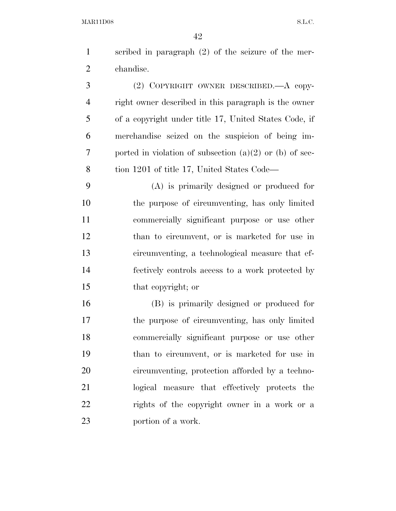scribed in paragraph (2) of the seizure of the mer-chandise.

 (2) COPYRIGHT OWNER DESCRIBED.—A copy- right owner described in this paragraph is the owner of a copyright under title 17, United States Code, if merchandise seized on the suspicion of being im- ported in violation of subsection (a)(2) or (b) of sec-tion 1201 of title 17, United States Code—

 (A) is primarily designed or produced for the purpose of circumventing, has only limited commercially significant purpose or use other than to circumvent, or is marketed for use in circumventing, a technological measure that ef- fectively controls access to a work protected by that copyright; or

 (B) is primarily designed or produced for the purpose of circumventing, has only limited commercially significant purpose or use other than to circumvent, or is marketed for use in circumventing, protection afforded by a techno- logical measure that effectively protects the rights of the copyright owner in a work or a portion of a work.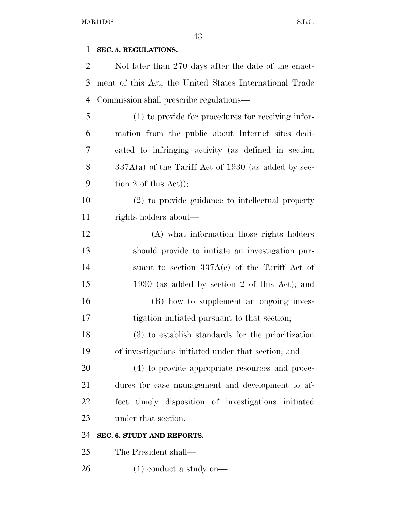### **SEC. 5. REGULATIONS.**

| $\overline{2}$ | Not later than 270 days after the date of the enact-    |
|----------------|---------------------------------------------------------|
| 3              | ment of this Act, the United States International Trade |
| $\overline{4}$ | Commission shall prescribe regulations—                 |
| 5              | (1) to provide for procedures for receiving infor-      |
| 6              | mation from the public about Internet sites dedi-       |
| 7              | cated to infringing activity (as defined in section     |
| 8              | $337A(a)$ of the Tariff Act of 1930 (as added by sec-   |
| 9              | tion 2 of this $Act$ );                                 |
| 10             | (2) to provide guidance to intellectual property        |
| 11             | rights holders about—                                   |
| 12             | (A) what information those rights holders               |
| 13             | should provide to initiate an investigation pur-        |
| 14             | suant to section $337A(c)$ of the Tariff Act of         |
| 15             | 1930 (as added by section 2 of this Act); and           |
| 16             | (B) how to supplement an ongoing inves-                 |
| 17             | tigation initiated pursuant to that section;            |
| 18             | (3) to establish standards for the prioritization       |
| 19             | of investigations initiated under that section; and     |
| 20             | (4) to provide appropriate resources and proce-         |
| 21             | dures for case management and development to af-        |
| 22             | fect timely disposition of investigations initiated     |
| 23             | under that section.                                     |
| 24             | SEC. 6. STUDY AND REPORTS.                              |
| 25             | The President shall—                                    |
|                |                                                         |

(1) conduct a study on—